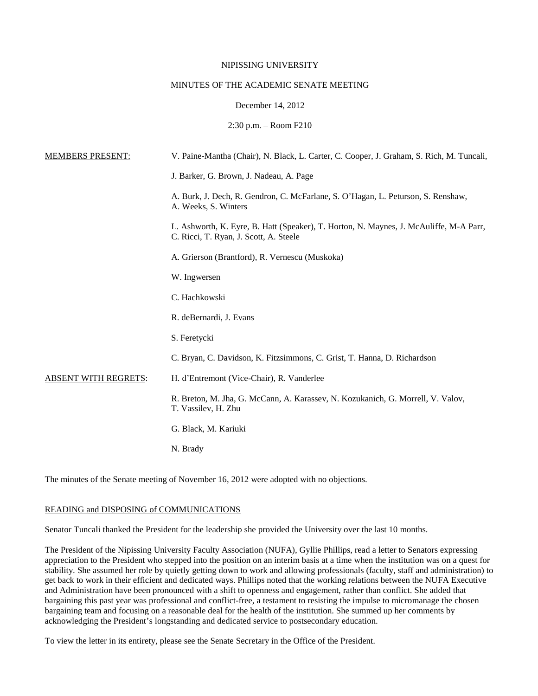### NIPISSING UNIVERSITY

### MINUTES OF THE ACADEMIC SENATE MEETING

## December 14, 2012

2:30 p.m. – Room F210

| <b>MEMBERS PRESENT:</b>     | V. Paine-Mantha (Chair), N. Black, L. Carter, C. Cooper, J. Graham, S. Rich, M. Tuncali,                                         |
|-----------------------------|----------------------------------------------------------------------------------------------------------------------------------|
|                             | J. Barker, G. Brown, J. Nadeau, A. Page                                                                                          |
|                             | A. Burk, J. Dech, R. Gendron, C. McFarlane, S. O'Hagan, L. Peturson, S. Renshaw,<br>A. Weeks, S. Winters                         |
|                             | L. Ashworth, K. Eyre, B. Hatt (Speaker), T. Horton, N. Maynes, J. McAuliffe, M-A Parr,<br>C. Ricci, T. Ryan, J. Scott, A. Steele |
|                             | A. Grierson (Brantford), R. Vernescu (Muskoka)                                                                                   |
|                             | W. Ingwersen                                                                                                                     |
|                             | C. Hachkowski                                                                                                                    |
|                             | R. deBernardi, J. Evans                                                                                                          |
|                             | S. Feretycki                                                                                                                     |
|                             | C. Bryan, C. Davidson, K. Fitzsimmons, C. Grist, T. Hanna, D. Richardson                                                         |
| <b>ABSENT WITH REGRETS:</b> | H. d'Entremont (Vice-Chair), R. Vanderlee                                                                                        |
|                             | R. Breton, M. Jha, G. McCann, A. Karassev, N. Kozukanich, G. Morrell, V. Valov,<br>T. Vassilev, H. Zhu                           |
|                             | G. Black, M. Kariuki                                                                                                             |
|                             | N. Brady                                                                                                                         |
|                             |                                                                                                                                  |

The minutes of the Senate meeting of November 16, 2012 were adopted with no objections.

## READING and DISPOSING of COMMUNICATIONS

Senator Tuncali thanked the President for the leadership she provided the University over the last 10 months.

The President of the Nipissing University Faculty Association (NUFA), Gyllie Phillips, read a letter to Senators expressing appreciation to the President who stepped into the position on an interim basis at a time when the institution was on a quest for stability. She assumed her role by quietly getting down to work and allowing professionals (faculty, staff and administration) to get back to work in their efficient and dedicated ways. Phillips noted that the working relations between the NUFA Executive and Administration have been pronounced with a shift to openness and engagement, rather than conflict. She added that bargaining this past year was professional and conflict-free, a testament to resisting the impulse to micromanage the chosen bargaining team and focusing on a reasonable deal for the health of the institution. She summed up her comments by acknowledging the President's longstanding and dedicated service to postsecondary education.

To view the letter in its entirety, please see the Senate Secretary in the Office of the President.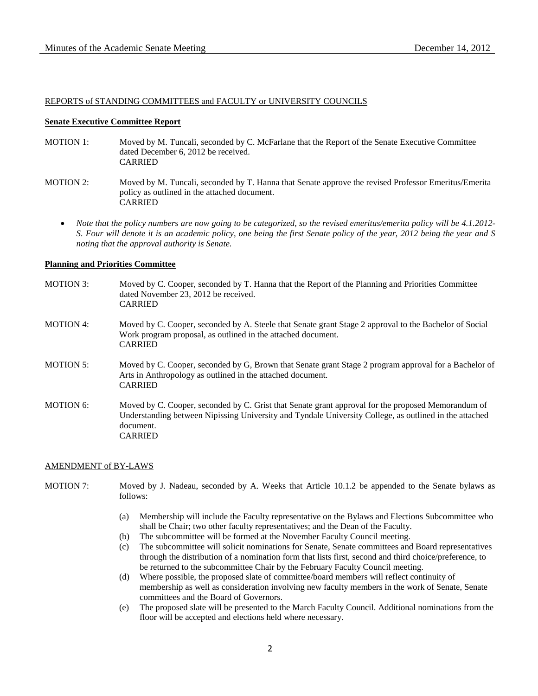### REPORTS of STANDING COMMITTEES and FACULTY or UNIVERSITY COUNCILS

## **Senate Executive Committee Report**

- MOTION 1: Moved by M. Tuncali, seconded by C. McFarlane that the Report of the Senate Executive Committee dated December 6, 2012 be received. CARRIED
- MOTION 2: Moved by M. Tuncali, seconded by T. Hanna that Senate approve the revised Professor Emeritus/Emerita policy as outlined in the attached document. CARRIED
	- *Note that the policy numbers are now going to be categorized, so the revised emeritus/emerita policy will be 4.1.2012- S. Four will denote it is an academic policy, one being the first Senate policy of the year, 2012 being the year and S noting that the approval authority is Senate.*

### **Planning and Priorities Committee**

| <b>MOTION 3:</b> | Moved by C. Cooper, seconded by T. Hanna that the Report of the Planning and Priorities Committee<br>dated November 23, 2012 be received.<br><b>CARRIED</b>                                                                                 |
|------------------|---------------------------------------------------------------------------------------------------------------------------------------------------------------------------------------------------------------------------------------------|
| <b>MOTION 4:</b> | Moved by C. Cooper, seconded by A. Steele that Senate grant Stage 2 approval to the Bachelor of Social<br>Work program proposal, as outlined in the attached document.<br><b>CARRIED</b>                                                    |
| <b>MOTION 5:</b> | Moved by C. Cooper, seconded by G. Brown that Senate grant Stage 2 program approval for a Bachelor of<br>Arts in Anthropology as outlined in the attached document.<br><b>CARRIED</b>                                                       |
| MOTION 6:        | Moved by C. Cooper, seconded by C. Grist that Senate grant approval for the proposed Memorandum of<br>Understanding between Nipissing University and Tyndale University College, as outlined in the attached<br>document.<br><b>CARRIED</b> |

### AMENDMENT of BY-LAWS

- MOTION 7: Moved by J. Nadeau, seconded by A. Weeks that Article 10.1.2 be appended to the Senate bylaws as follows:
	- (a) Membership will include the Faculty representative on the Bylaws and Elections Subcommittee who shall be Chair; two other faculty representatives; and the Dean of the Faculty.
	- (b) The subcommittee will be formed at the November Faculty Council meeting.
	- (c) The subcommittee will solicit nominations for Senate, Senate committees and Board representatives through the distribution of a nomination form that lists first, second and third choice/preference, to be returned to the subcommittee Chair by the February Faculty Council meeting.
	- (d) Where possible, the proposed slate of committee/board members will reflect continuity of membership as well as consideration involving new faculty members in the work of Senate, Senate committees and the Board of Governors.
	- (e) The proposed slate will be presented to the March Faculty Council. Additional nominations from the floor will be accepted and elections held where necessary.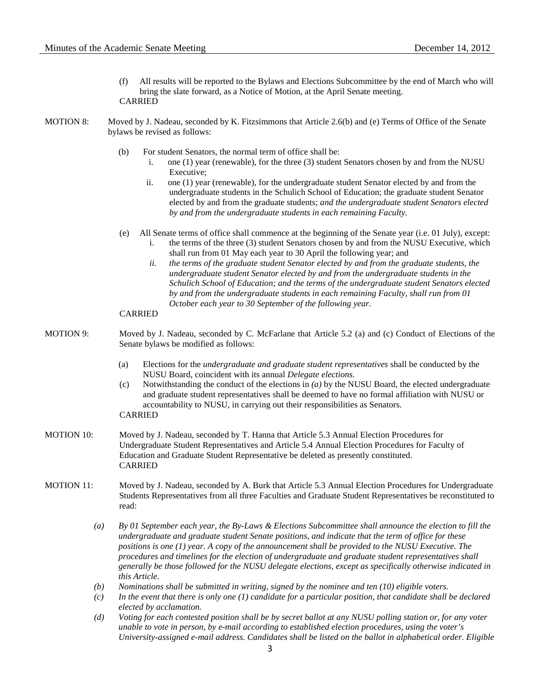- (f) All results will be reported to the Bylaws and Elections Subcommittee by the end of March who will bring the slate forward, as a Notice of Motion, at the April Senate meeting. CARRIED
- MOTION 8: Moved by J. Nadeau, seconded by K. Fitzsimmons that Article 2.6(b) and (e) Terms of Office of the Senate bylaws be revised as follows:
	- (b) For student Senators, the normal term of office shall be:
		- i. one (1) year (renewable), for the three (3) student Senators chosen by and from the NUSU Executive;
		- ii. one (1) year (renewable), for the undergraduate student Senator elected by and from the undergraduate students in the Schulich School of Education; the graduate student Senator elected by and from the graduate students; *and the undergraduate student Senators elected by and from the undergraduate students in each remaining Faculty.*
	- (e) All Senate terms of office shall commence at the beginning of the Senate year (i.e. 01 July), except: i. the terms of the three (3) student Senators chosen by and from the NUSU Executive, which shall run from 01 May each year to 30 April the following year; and
		- *ii. the terms of the graduate student Senator elected by and from the graduate students, the undergraduate student Senator elected by and from the undergraduate students in the Schulich School of Education; and the terms of the undergraduate student Senators elected by and from the undergraduate students in each remaining Faculty, shall run from 01 October each year to 30 September of the following year.*

### CARRIED

- MOTION 9: Moved by J. Nadeau, seconded by C. McFarlane that Article 5.2 (a) and (c) Conduct of Elections of the Senate bylaws be modified as follows:
	- (a) Elections for the *undergraduate and graduate student representatives* shall be conducted by the NUSU Board, coincident with its annual *Delegate elections*.
	- (c) Notwithstanding the conduct of the elections in *(a)* by the NUSU Board, the elected undergraduate and graduate student representatives shall be deemed to have no formal affiliation with NUSU or accountability to NUSU, in carrying out their responsibilities as Senators.

# CARRIED

- MOTION 10: Moved by J. Nadeau, seconded by T. Hanna that Article 5.3 Annual Election Procedures for Undergraduate Student Representatives and Article 5.4 Annual Election Procedures for Faculty of Education and Graduate Student Representative be deleted as presently constituted. CARRIED
- MOTION 11: Moved by J. Nadeau, seconded by A. Burk that Article 5.3 Annual Election Procedures for Undergraduate Students Representatives from all three Faculties and Graduate Student Representatives be reconstituted to read:
	- *(a) By 01 September each year, the By-Laws & Elections Subcommittee shall announce the election to fill the undergraduate and graduate student Senate positions, and indicate that the term of office for these positions is one (1) year. A copy of the announcement shall be provided to the NUSU Executive. The procedures and timelines for the election of undergraduate and graduate student representatives shall generally be those followed for the NUSU delegate elections, except as specifically otherwise indicated in this Article.*
	- *(b) Nominations shall be submitted in writing, signed by the nominee and ten (10) eligible voters.*
	- *(c) In the event that there is only one (1) candidate for a particular position, that candidate shall be declared elected by acclamation.*
	- *(d) Voting for each contested position shall be by secret ballot at any NUSU polling station or, for any voter unable to vote in person, by e-mail according to established election procedures, using the voter's University-assigned e-mail address. Candidates shall be listed on the ballot in alphabetical order. Eligible*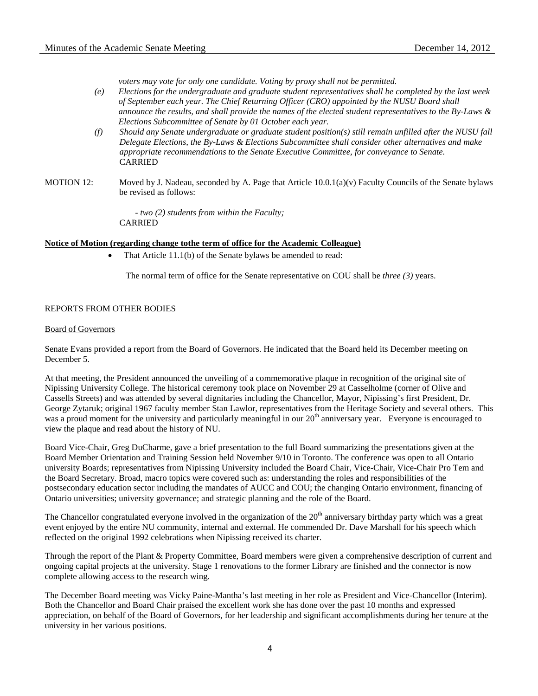*voters may vote for only one candidate. Voting by proxy shall not be permitted.*

- *(e) Elections for the undergraduate and graduate student representatives shall be completed by the last week of September each year. The Chief Returning Officer (CRO) appointed by the NUSU Board shall announce the results, and shall provide the names of the elected student representatives to the By-Laws & Elections Subcommittee of Senate by 01 October each year.*
- *(f) Should any Senate undergraduate or graduate student position(s) still remain unfilled after the NUSU fall Delegate Elections, the By-Laws & Elections Subcommittee shall consider other alternatives and make appropriate recommendations to the Senate Executive Committee, for conveyance to Senate.* CARRIED
- MOTION 12: Moved by J. Nadeau, seconded by A. Page that Article 10.0.1(a)(v) Faculty Councils of the Senate bylaws be revised as follows:

*- two (2) students from within the Faculty;* CARRIED

### **Notice of Motion (regarding change tothe term of office for the Academic Colleague)**

That Article 11.1(b) of the Senate bylaws be amended to read:

The normal term of office for the Senate representative on COU shall be *three (3)* years.

## REPORTS FROM OTHER BODIES

### Board of Governors

Senate Evans provided a report from the Board of Governors. He indicated that the Board held its December meeting on December 5.

At that meeting, the President announced the unveiling of a commemorative plaque in recognition of the original site of Nipissing University College. The historical ceremony took place on November 29 at Casselholme (corner of Olive and Cassells Streets) and was attended by several dignitaries including the Chancellor, Mayor, Nipissing's first President, Dr. George Zytaruk; original 1967 faculty member Stan Lawlor, representatives from the Heritage Society and several others. This was a proud moment for the university and particularly meaningful in our  $20<sup>th</sup>$  anniversary year. Everyone is encouraged to view the plaque and read about the history of NU.

Board Vice-Chair, Greg DuCharme, gave a brief presentation to the full Board summarizing the presentations given at the Board Member Orientation and Training Session held November 9/10 in Toronto. The conference was open to all Ontario university Boards; representatives from Nipissing University included the Board Chair, Vice-Chair, Vice-Chair Pro Tem and the Board Secretary. Broad, macro topics were covered such as: understanding the roles and responsibilities of the postsecondary education sector including the mandates of AUCC and COU; the changing Ontario environment, financing of Ontario universities; university governance; and strategic planning and the role of the Board.

The Chancellor congratulated everyone involved in the organization of the  $20<sup>th</sup>$  anniversary birthday party which was a great event enjoyed by the entire NU community, internal and external. He commended Dr. Dave Marshall for his speech which reflected on the original 1992 celebrations when Nipissing received its charter.

Through the report of the Plant & Property Committee, Board members were given a comprehensive description of current and ongoing capital projects at the university. Stage 1 renovations to the former Library are finished and the connector is now complete allowing access to the research wing.

The December Board meeting was Vicky Paine-Mantha's last meeting in her role as President and Vice-Chancellor (Interim). Both the Chancellor and Board Chair praised the excellent work she has done over the past 10 months and expressed appreciation, on behalf of the Board of Governors, for her leadership and significant accomplishments during her tenure at the university in her various positions.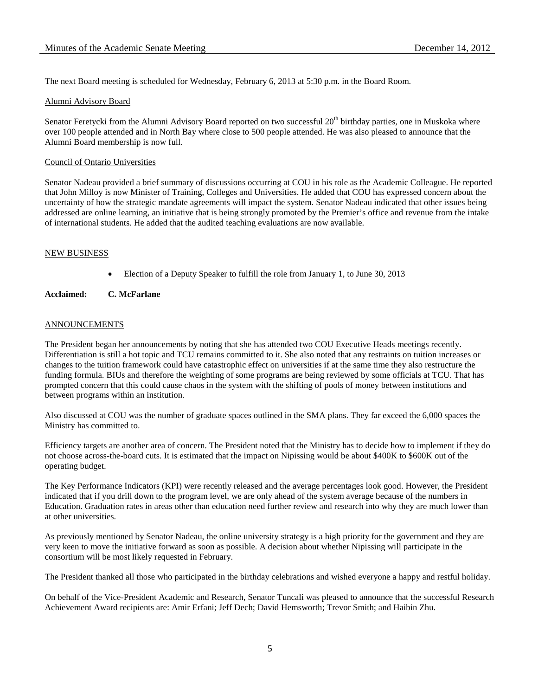The next Board meeting is scheduled for Wednesday, February 6, 2013 at 5:30 p.m. in the Board Room.

## Alumni Advisory Board

Senator Feretycki from the Alumni Advisory Board reported on two successful 20<sup>th</sup> birthday parties, one in Muskoka where over 100 people attended and in North Bay where close to 500 people attended. He was also pleased to announce that the Alumni Board membership is now full.

# Council of Ontario Universities

Senator Nadeau provided a brief summary of discussions occurring at COU in his role as the Academic Colleague. He reported that John Milloy is now Minister of Training, Colleges and Universities. He added that COU has expressed concern about the uncertainty of how the strategic mandate agreements will impact the system. Senator Nadeau indicated that other issues being addressed are online learning, an initiative that is being strongly promoted by the Premier's office and revenue from the intake of international students. He added that the audited teaching evaluations are now available.

# NEW BUSINESS

• Election of a Deputy Speaker to fulfill the role from January 1, to June 30, 2013

# **Acclaimed: C. McFarlane**

# ANNOUNCEMENTS

The President began her announcements by noting that she has attended two COU Executive Heads meetings recently. Differentiation is still a hot topic and TCU remains committed to it. She also noted that any restraints on tuition increases or changes to the tuition framework could have catastrophic effect on universities if at the same time they also restructure the funding formula. BIUs and therefore the weighting of some programs are being reviewed by some officials at TCU. That has prompted concern that this could cause chaos in the system with the shifting of pools of money between institutions and between programs within an institution.

Also discussed at COU was the number of graduate spaces outlined in the SMA plans. They far exceed the 6,000 spaces the Ministry has committed to.

Efficiency targets are another area of concern. The President noted that the Ministry has to decide how to implement if they do not choose across-the-board cuts. It is estimated that the impact on Nipissing would be about \$400K to \$600K out of the operating budget.

The Key Performance Indicators (KPI) were recently released and the average percentages look good. However, the President indicated that if you drill down to the program level, we are only ahead of the system average because of the numbers in Education. Graduation rates in areas other than education need further review and research into why they are much lower than at other universities.

As previously mentioned by Senator Nadeau, the online university strategy is a high priority for the government and they are very keen to move the initiative forward as soon as possible. A decision about whether Nipissing will participate in the consortium will be most likely requested in February.

The President thanked all those who participated in the birthday celebrations and wished everyone a happy and restful holiday.

On behalf of the Vice-President Academic and Research, Senator Tuncali was pleased to announce that the successful Research Achievement Award recipients are: Amir Erfani; Jeff Dech; David Hemsworth; Trevor Smith; and Haibin Zhu.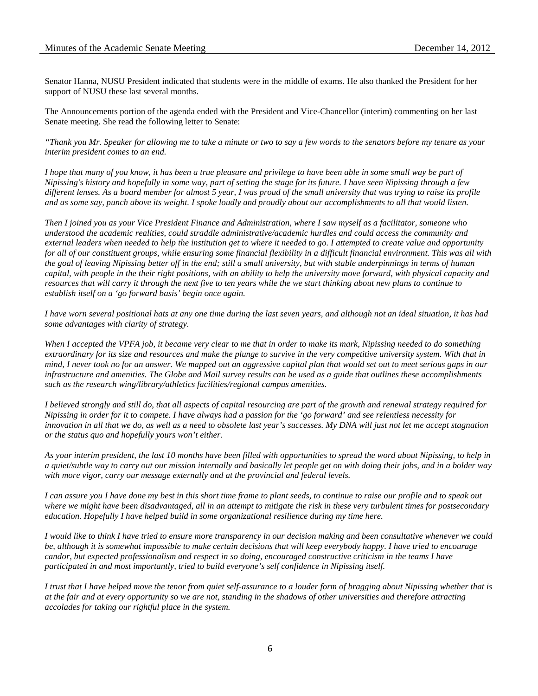Senator Hanna, NUSU President indicated that students were in the middle of exams. He also thanked the President for her support of NUSU these last several months.

The Announcements portion of the agenda ended with the President and Vice-Chancellor (interim) commenting on her last Senate meeting. She read the following letter to Senate:

*"Thank you Mr. Speaker for allowing me to take a minute or two to say a few words to the senators before my tenure as your interim president comes to an end.*

*I hope that many of you know, it has been a true pleasure and privilege to have been able in some small way be part of Nipissing's history and hopefully in some way, part of setting the stage for its future. I have seen Nipissing through a few different lenses. As a board member for almost 5 year, I was proud of the small university that was trying to raise its profile and as some say, punch above its weight. I spoke loudly and proudly about our accomplishments to all that would listen.*

*Then I joined you as your Vice President Finance and Administration, where I saw myself as a facilitator, someone who understood the academic realities, could straddle administrative/academic hurdles and could access the community and external leaders when needed to help the institution get to where it needed to go. I attempted to create value and opportunity for all of our constituent groups, while ensuring some financial flexibility in a difficult financial environment. This was all with the goal of leaving Nipissing better off in the end; still a small university, but with stable underpinnings in terms of human capital, with people in the their right positions, with an ability to help the university move forward, with physical capacity and resources that will carry it through the next five to ten years while the we start thinking about new plans to continue to establish itself on a 'go forward basis' begin once again.* 

*I have worn several positional hats at any one time during the last seven years, and although not an ideal situation, it has had some advantages with clarity of strategy.* 

*When I accepted the VPFA job, it became very clear to me that in order to make its mark, Nipissing needed to do something extraordinary for its size and resources and make the plunge to survive in the very competitive university system. With that in mind, I never took no for an answer. We mapped out an aggressive capital plan that would set out to meet serious gaps in our infrastructure and amenities. The Globe and Mail survey results can be used as a guide that outlines these accomplishments such as the research wing/library/athletics facilities/regional campus amenities.*

*I believed strongly and still do, that all aspects of capital resourcing are part of the growth and renewal strategy required for Nipissing in order for it to compete. I have always had a passion for the 'go forward' and see relentless necessity for innovation in all that we do, as well as a need to obsolete last year's successes. My DNA will just not let me accept stagnation or the status quo and hopefully yours won't either.*

*As your interim president, the last 10 months have been filled with opportunities to spread the word about Nipissing, to help in a quiet/subtle way to carry out our mission internally and basically let people get on with doing their jobs, and in a bolder way with more vigor, carry our message externally and at the provincial and federal levels.* 

*I can assure you I have done my best in this short time frame to plant seeds, to continue to raise our profile and to speak out where we might have been disadvantaged, all in an attempt to mitigate the risk in these very turbulent times for postsecondary education. Hopefully I have helped build in some organizational resilience during my time here.*

*I would like to think I have tried to ensure more transparency in our decision making and been consultative whenever we could be, although it is somewhat impossible to make certain decisions that will keep everybody happy. I have tried to encourage candor, but expected professionalism and respect in so doing, encouraged constructive criticism in the teams I have participated in and most importantly, tried to build everyone's self confidence in Nipissing itself.* 

*I trust that I have helped move the tenor from quiet self-assurance to a louder form of bragging about Nipissing whether that is at the fair and at every opportunity so we are not, standing in the shadows of other universities and therefore attracting accolades for taking our rightful place in the system.*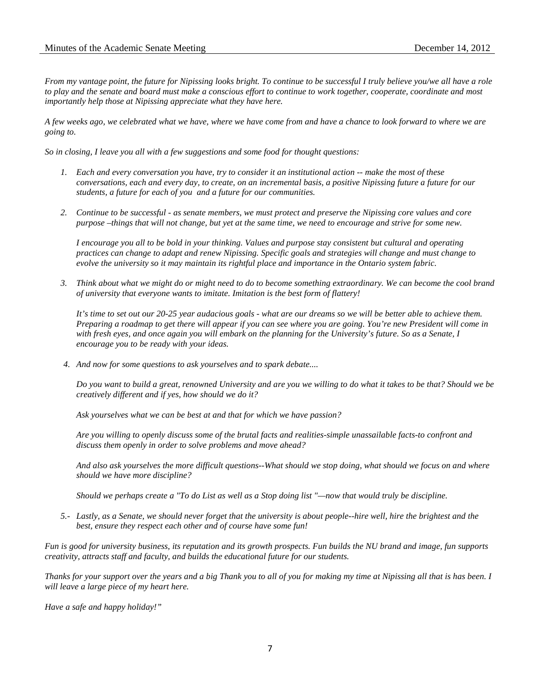*From my vantage point, the future for Nipissing looks bright. To continue to be successful I truly believe you/we all have a role to play and the senate and board must make a conscious effort to continue to work together, cooperate, coordinate and most importantly help those at Nipissing appreciate what they have here.* 

*A few weeks ago, we celebrated what we have, where we have come from and have a chance to look forward to where we are going to.* 

*So in closing, I leave you all with a few suggestions and some food for thought questions:*

- *1. Each and every conversation you have, try to consider it an institutional action -- make the most of these conversations, each and every day, to create, on an incremental basis, a positive Nipissing future a future for our students, a future for each of you and a future for our communities.*
- *2. Continue to be successful - as senate members, we must protect and preserve the Nipissing core values and core purpose –things that will not change, but yet at the same time, we need to encourage and strive for some new.*

*I encourage you all to be bold in your thinking. Values and purpose stay consistent but cultural and operating practices can change to adapt and renew Nipissing. Specific goals and strategies will change and must change to evolve the university so it may maintain its rightful place and importance in the Ontario system fabric.*

*3. Think about what we might do or might need to do to become something extraordinary. We can become the cool brand of university that everyone wants to imitate. Imitation is the best form of flattery!* 

*It's time to set out our 20-25 year audacious goals - what are our dreams so we will be better able to achieve them. Preparing a roadmap to get there will appear if you can see where you are going. You're new President will come in with fresh eyes, and once again you will embark on the planning for the University's future. So as a Senate, I encourage you to be ready with your ideas.*

*4. And now for some questions to ask yourselves and to spark debate....*

*Do you want to build a great, renowned University and are you we willing to do what it takes to be that? Should we be creatively different and if yes, how should we do it?*

*Ask yourselves what we can be best at and that for which we have passion?* 

*Are you willing to openly discuss some of the brutal facts and realities-simple unassailable facts-to confront and discuss them openly in order to solve problems and move ahead?*

*And also ask yourselves the more difficult questions--What should we stop doing, what should we focus on and where should we have more discipline?* 

*Should we perhaps create a "To do List as well as a Stop doing list "—now that would truly be discipline.*

*5.- Lastly, as a Senate, we should never forget that the university is about people--hire well, hire the brightest and the best, ensure they respect each other and of course have some fun!*

*Fun is good for university business, its reputation and its growth prospects. Fun builds the NU brand and image, fun supports creativity, attracts staff and faculty, and builds the educational future for our students.*

*Thanks for your support over the years and a big Thank you to all of you for making my time at Nipissing all that is has been. I will leave a large piece of my heart here.*

*Have a safe and happy holiday!"*